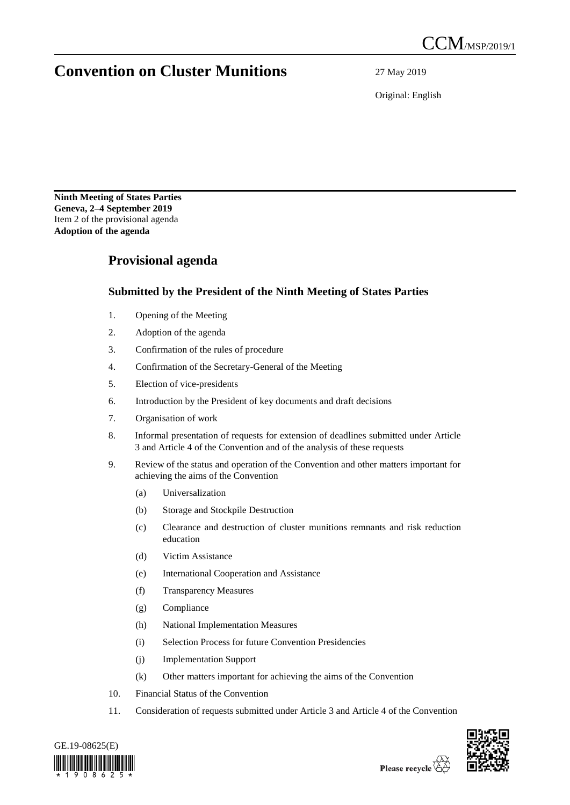## **Convention on Cluster Munitions** 27 May 2019

Original: English

**Ninth Meeting of States Parties Geneva, 2–4 September 2019** Item 2 of the provisional agenda **Adoption of the agenda**

## **Provisional agenda**

## **Submitted by the President of the Ninth Meeting of States Parties**

- 1. Opening of the Meeting
- 2. Adoption of the agenda
- 3. Confirmation of the rules of procedure
- 4. Confirmation of the Secretary-General of the Meeting
- 5. Election of vice-presidents
- 6. Introduction by the President of key documents and draft decisions
- 7. Organisation of work
- 8. Informal presentation of requests for extension of deadlines submitted under Article 3 and Article 4 of the Convention and of the analysis of these requests
- 9. Review of the status and operation of the Convention and other matters important for achieving the aims of the Convention
	- (a) Universalization
	- (b) Storage and Stockpile Destruction
	- (c) Clearance and destruction of cluster munitions remnants and risk reduction education
	- (d) Victim Assistance
	- (e) International Cooperation and Assistance
	- (f) Transparency Measures
	- (g) Compliance
	- (h) National Implementation Measures
	- (i) Selection Process for future Convention Presidencies
	- (j) Implementation Support
	- (k) Other matters important for achieving the aims of the Convention
- 10. Financial Status of the Convention
- 11. Consideration of requests submitted under Article 3 and Article 4 of the Convention